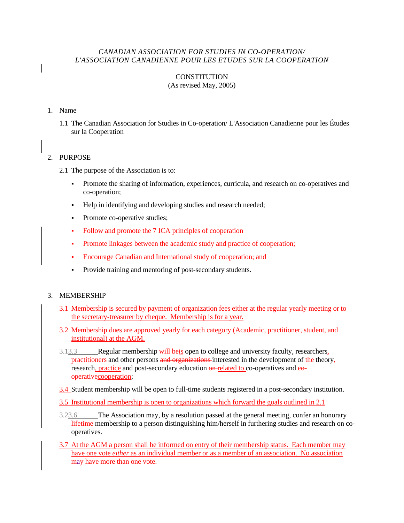#### *CANADIAN ASSOCIATION FOR STUDIES IN CO-OPERATION/ L'ASSOCIATION CANADIENNE POUR LES ETUDES SUR LA COOPERATION*

# **CONSTITUTION**

## (As revised May, 2005)

#### 1. Name

1.1 The Canadian Association for Studies in Co-operation/ L'Association Canadienne pour les Études sur la Cooperation

## 2. PURPOSE

- 2.1 The purpose of the Association is to:
	- Promote the sharing of information, experiences, curricula, and research on co-operatives and co-operation;
	- Help in identifying and developing studies and research needed;
	- Promote co-operative studies;
	- Follow and promote the 7 ICA principles of cooperation
	- Promote linkages between the academic study and practice of cooperation;
	- **Encourage Canadian and International study of cooperation; and**
	- Provide training and mentoring of post-secondary students.

#### 3. MEMBERSHIP

- 3.1 Membership is secured by payment of organization fees either at the regular yearly meeting or to the secretary-treasurer by cheque. Membership is for a year.
- 3.2 Membership dues are approved yearly for each category (Academic, practitioner, student, and institutional) at the AGM.
- $\frac{3.13.3}{2.13.3}$  Regular membership will be experience of college and university faculty, researchers, practitioners and other persons and organizations interested in the development of the theory, research, practice and post-secondary education  $\theta$ -related to co-operatives and  $\theta$ operativecooperation;
- 3.4 Student membership will be open to full-time students registered in a post-secondary institution.
- 3.5 Institutional membership is open to organizations which forward the goals outlined in 2.1
- $\frac{3.23.6}{2.23.6}$  The Association may, by a resolution passed at the general meeting, confer an honorary lifetime membership to a person distinguishing him/herself in furthering studies and research on cooperatives.
- 3.7 At the AGM a person shall be informed on entry of their membership status. Each member may have one vote *either* as an individual member or as a member of an association. No association may have more than one vote.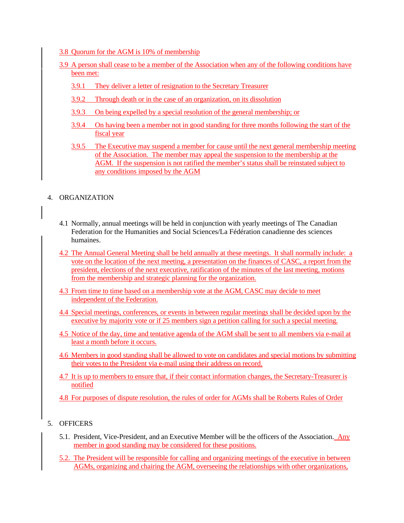- 3.8 Quorum for the AGM is 10% of membership
- 3.9 A person shall cease to be a member of the Association when any of the following conditions have been met:
	- 3.9.1 They deliver a letter of resignation to the Secretary Treasurer
	- 3.9.2 Through death or in the case of an organization, on its dissolution
	- 3.9.3 On being expelled by a special resolution of the general membership; or
	- 3.9.4 On having been a member not in good standing for three months following the start of the fiscal year
	- 3.9.5 The Executive may suspend a member for cause until the next general membership meeting of the Association. The member may appeal the suspension to the membership at the AGM. If the suspension is not ratified the member's status shall be reinstated subject to any conditions imposed by the AGM

#### 4. ORGANIZATION

- 4.1 Normally, annual meetings will be held in conjunction with yearly meetings of The Canadian Federation for the Humanities and Social Sciences/La Fédération canadienne des sciences humaines.
- 4.2 The Annual General Meeting shall be held annually at these meetings. It shall normally include: a vote on the location of the next meeting, a presentation on the finances of CASC, a report from the president, elections of the next executive, ratification of the minutes of the last meeting, motions from the membership and strategic planning for the organization.
- 4.3 From time to time based on a membership vote at the AGM, CASC may decide to meet independent of the Federation.
- 4.4 Special meetings, conferences, or events in between regular meetings shall be decided upon by the executive by majority vote or if 25 members sign a petition calling for such a special meeting.
- 4.5 Notice of the day, time and tentative agenda of the AGM shall be sent to all members via e-mail at least a month before it occurs.
- 4.6 Members in good standing shall be allowed to vote on candidates and special motions by submitting their votes to the President via e-mail using their address on record.
- 4.7 It is up to members to ensure that, if their contact information changes, the Secretary-Treasurer is notified
- 4.8 For purposes of dispute resolution, the rules of order for AGMs shall be Roberts Rules of Order

## 5. OFFICERS

- 5.1. President, Vice-President, and an Executive Member will be the officers of the Association. Any member in good standing may be considered for these positions.
- 5.2. The President will be responsible for calling and organizing meetings of the executive in between AGMs, organizing and chairing the AGM, overseeing the relationships with other organizations,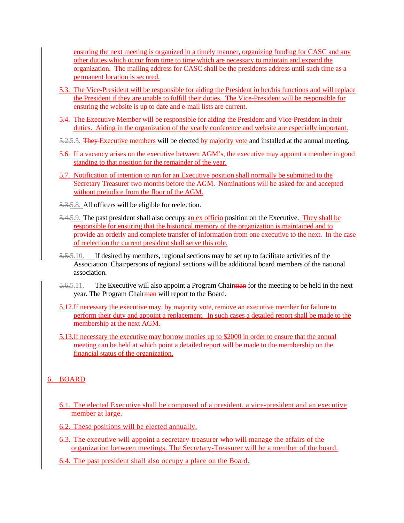ensuring the next meeting is organized in a timely manner, organizing funding for CASC and any other duties which occur from time to time which are necessary to maintain and expand the organization. The mailing address for CASC shall be the presidents address until such time as a permanent location is secured.

- 5.3. The Vice-President will be responsible for aiding the President in her/his functions and will replace the President if they are unable to fulfill their duties. The Vice-President will be responsible for ensuring the website is up to date and e-mail lists are current.
- 5.4. The Executive Member will be responsible for aiding the President and Vice-President in their duties. Aiding in the organization of the yearly conference and website are especially important.
- 5.2.5.5. They Executive members will be elected by majority vote and installed at the annual meeting.
- 5.6. If a vacancy arises on the executive between AGM's, the executive may appoint a member in good standing to that position for the remainder of the year.
- 5.7. Notification of intention to run for an Executive position shall normally be submitted to the Secretary Treasurer two months before the AGM. Nominations will be asked for and accepted without prejudice from the floor of the AGM.
- 5.3.5.8. All officers will be eligible for reelection.
- $5.4.5.9$ . The past president shall also occupy an ex officio position on the Executive. They shall be responsible for ensuring that the historical memory of the organization is maintained and to provide an orderly and complete transfer of information from one executive to the next. In the case of reelection the current president shall serve this role.
- 5.5.5.10. If desired by members, regional sections may be set up to facilitate activities of the Association. Chairpersons of regional sections will be additional board members of the national association.
- $5.6.5.11.$  The Executive will also appoint a Program Chairman for the meeting to be held in the next year. The Program Chairman will report to the Board.
- 5.12.If necessary the executive may, by majority vote, remove an executive member for failure to perform their duty and appoint a replacement. In such cases a detailed report shall be made to the membership at the next AGM.
- 5.13.If necessary the executive may borrow monies up to \$2000 in order to ensure that the annual meeting can be held at which point a detailed report will be made to the membership on the financial status of the organization.

## 6. BOARD

- 6.1. The elected Executive shall be composed of a president, a vice-president and an executive member at large.
- 6.2. These positions will be elected annually.
- 6.3. The executive will appoint a secretary-treasurer who will manage the affairs of the organization between meetings. The Secretary-Treasurer will be a member of the board.
- 6.4. The past president shall also occupy a place on the Board.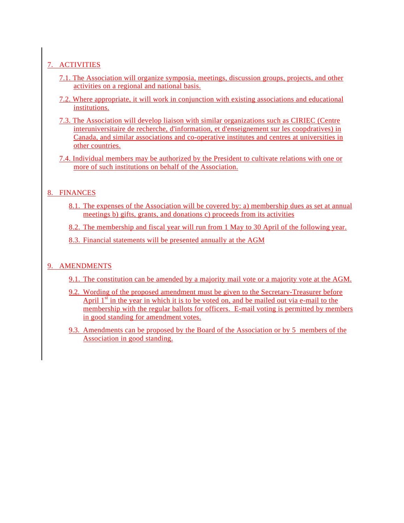# 7. ACTIVITIES

- 7.1. The Association will organize symposia, meetings, discussion groups, projects, and other activities on a regional and national basis.
- 7.2. Where appropriate, it will work in conjunction with existing associations and educational institutions.
- 7.3. The Association will develop liaison with similar organizations such as CIRIEC (Centre interuniversitaire de recherche, d'information, et d'enseignement sur les coopdratives) in Canada, and similar associations and co-operative institutes and centres at universities in other countries.
- 7.4. Individual members may be authorized by the President to cultivate relations with one or more of such institutions on behalf of the Association.

# 8. FINANCES

8.1. The expenses of the Association will be covered by: a) membership dues as set at annual meetings b) gifts, grants, and donations c) proceeds from its activities

8.2. The membership and fiscal year will run from 1 May to 30 April of the following year.

8.3. Financial statements will be presented annually at the AGM

# 9. AMENDMENTS

- 9.1. The constitution can be amended by a majority mail vote or a majority vote at the AGM.
- 9.2. Wording of the proposed amendment must be given to the Secretary-Treasurer before April  $1<sup>st</sup>$  in the year in which it is to be voted on, and be mailed out via e-mail to the membership with the regular ballots for officers. E-mail voting is permitted by members in good standing for amendment votes.
- 9.3. Amendments can be proposed by the Board of the Association or by 5 members of the Association in good standing.